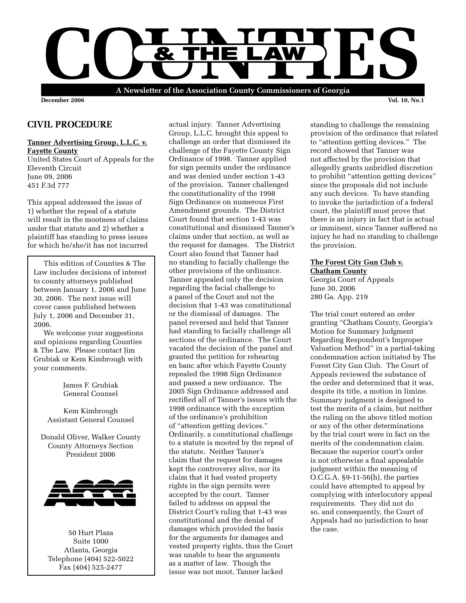

**December 2006 Vol. 10, No.1**

# **CIVIL PROCEDURE**

#### **Tanner Advertising Group, L.L.C. v. Fayette County**

United States Court of Appeals for the Eleventh Circuit June 09, 2006 451 F.3d 777

This appeal addressed the issue of 1) whether the repeal of a statute will result in the mootness of claims under that statute and 2) whether a plaintiff has standing to press issues for which he/she/it has not incurred

 This edition of Counties & The Law includes decisions of interest to county attorneys published between January 1, 2006 and June 30, 2006. The next issue will cover cases published between July 1, 2006 and December 31, 2006.

 We welcome your suggestions and opinions regarding Counties & The Law. Please contact Jim Grubiak or Kem Kimbrough with your comments.

> James F. Grubiak General Counsel

Kem Kimbrough Assistant General Counsel

Donald Oliver, Walker County County Attorneys Section President 2006



50 Hurt Plaza Suite 1000 Atlanta, Georgia Telephone (404) 522-5022 Fax (404) 525-2477

actual injury. Tanner Advertising Group, L.L.C. brought this appeal to challenge an order that dismissed its challenge of the Fayette County Sign Ordinance of 1998. Tanner applied for sign permits under the ordinance and was denied under section 1-43 of the provision. Tanner challenged the constitutionality of the 1998 Sign Ordinance on numerous First Amendment grounds. The District Court found that section 1-43 was constitutional and dismissed Tanner's claims under that section, as well as the request for damages. The District Court also found that Tanner had no standing to facially challenge the other provisions of the ordinance. Tanner appealed only the decision regarding the facial challenge to a panel of the Court and not the decision that 1-43 was constitutional or the dismissal of damages. The panel reversed and held that Tanner had standing to facially challenge all sections of the ordinance. The Court vacated the decision of the panel and granted the petition for rehearing en banc after which Fayette County repealed the 1998 Sign Ordinance and passed a new ordinance. The 2005 Sign Ordinance addressed and rectified all of Tanner's issues with the 1998 ordinance with the exception of the ordinance's prohibition of "attention getting devices." Ordinarily, a constitutional challenge to a statute is mooted by the repeal of the statute. Neither Tanner's claim that the request for damages kept the controversy alive, nor its claim that it had vested property rights in the sign permits were accepted by the court. Tanner failed to address on appeal the District Court's ruling that 1-43 was constitutional and the denial of damages which provided the basis for the arguments for damages and vested property rights, thus the Court was unable to hear the arguments as a matter of law. Though the issue was not moot, Tanner lacked

standing to challenge the remaining provision of the ordinance that related to "attention getting devices." The record showed that Tanner was not affected by the provision that allegedly grants unbridled discretion to prohibit "attention getting devices" since the proposals did not include any such devices. To have standing to invoke the jurisdiction of a federal court, the plaintiff must prove that there is an injury in fact that is actual or imminent, since Tanner suffered no injury he had no standing to challenge the provision.

### **The Forest City Gun Club v. Chatham County**

Georgia Court of Appeals June 30, 2006 280 Ga. App. 219

The trial court entered an order granting "Chatham County, Georgia's Motion for Summary Judgment Regarding Respondent's Improper Valuation Method" in a partial-taking condemnation action initiated by The Forest City Gun Club. The Court of Appeals reviewed the substance of the order and determined that it was, despite its title, a motion in limine. Summary judgment is designed to test the merits of a claim, but neither the ruling on the above titled motion or any of the other determinations by the trial court were in fact on the merits of the condemnation claim. Because the superior court's order is not otherwise a final appealable judgment within the meaning of O.C.G.A. §9-11-56(h), the parties could have attempted to appeal by complying with interlocutory appeal requirements. They did not do so, and consequently, the Court of Appeals had no jurisdiction to hear the case.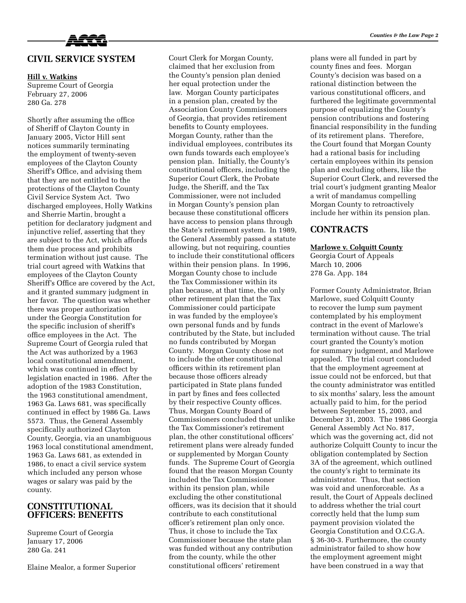

# **CIVIL SERVICE SYSTEM**

#### **Hill v. Watkins**

Supreme Court of Georgia February 27, 2006 280 Ga. 278

Shortly after assuming the office of Sheriff of Clayton County in January 2005, Victor Hill sent notices summarily terminating the employment of twenty-seven employees of the Clayton County Sheriff's Office, and advising them that they are not entitled to the protections of the Clayton County Civil Service System Act. Two discharged employees, Holly Watkins and Sherrie Martin, brought a petition for declaratory judgment and injunctive relief, asserting that they are subject to the Act, which affords them due process and prohibits termination without just cause. The trial court agreed with Watkins that employees of the Clayton County Sheriff's Office are covered by the Act, and it granted summary judgment in her favor. The question was whether there was proper authorization under the Georgia Constitution for the specific inclusion of sheriff's office employees in the Act. The Supreme Court of Georgia ruled that the Act was authorized by a 1963 local constitutional amendment, which was continued in effect by legislation enacted in 1986. After the adoption of the 1983 Constitution, the 1963 constitutional amendment, 1963 Ga. Laws 681, was specifically continued in effect by 1986 Ga. Laws 5573. Thus, the General Assembly specifically authorized Clayton County, Georgia, via an unambiguous 1963 local constitutional amendment, 1963 Ga. Laws 681, as extended in 1986, to enact a civil service system which included any person whose wages or salary was paid by the county.

### **CONSTITUTIONAL OFFICERS: BENEFITS**

Supreme Court of Georgia January 17, 2006 280 Ga. 241

Elaine Mealor, a former Superior

Court Clerk for Morgan County, claimed that her exclusion from the County's pension plan denied her equal protection under the law. Morgan County participates in a pension plan, created by the Association County Commissioners of Georgia, that provides retirement benefits to County employees. Morgan County, rather than the individual employees, contributes its own funds towards each employee's pension plan. Initially, the County's constitutional officers, including the Superior Court Clerk, the Probate Judge, the Sheriff, and the Tax Commissioner, were not included in Morgan County's pension plan because these constitutional officers have access to pension plans through the State's retirement system. In 1989, the General Assembly passed a statute allowing, but not requiring, counties to include their constitutional officers within their pension plans. In 1996, Morgan County chose to include the Tax Commissioner within its plan because, at that time, the only other retirement plan that the Tax Commissioner could participate in was funded by the employee's own personal funds and by funds contributed by the State, but included no funds contributed by Morgan County. Morgan County chose not to include the other constitutional officers within its retirement plan because those officers already participated in State plans funded in part by fines and fees collected by their respective County offices. Thus, Morgan County Board of Commissioners concluded that unlike the Tax Commissioner's retirement plan, the other constitutional officers' retirement plans were already funded or supplemented by Morgan County funds. The Supreme Court of Georgia found that the reason Morgan County included the Tax Commissioner within its pension plan, while excluding the other constitutional officers, was its decision that it should contribute to each constitutional officer's retirement plan only once. Thus, it chose to include the Tax Commissioner because the state plan was funded without any contribution from the county, while the other constitutional officers' retirement

plans were all funded in part by county fines and fees. Morgan County's decision was based on a rational distinction between the various constitutional officers, and furthered the legitimate governmental purpose of equalizing the County's pension contributions and fostering financial responsibility in the funding of its retirement plans. Therefore, the Court found that Morgan County had a rational basis for including certain employees within its pension plan and excluding others, like the Superior Court Clerk, and reversed the trial court's judgment granting Mealor a writ of mandamus compelling Morgan County to retroactively include her within its pension plan.

### **CONTRACTS**

#### **Marlowe v. Colquitt County**

Georgia Court of Appeals March 10, 2006 278 Ga. App. 184

Former County Administrator, Brian Marlowe, sued Colquitt County to recover the lump sum payment contemplated by his employment contract in the event of Marlowe's termination without cause. The trial court granted the County's motion for summary judgment, and Marlowe appealed. The trial court concluded that the employment agreement at issue could not be enforced, but that the county administrator was entitled to six months' salary, less the amount actually paid to him, for the period between September 15, 2003, and December 31, 2003. The 1986 Georgia General Assembly Act No. 817, which was the governing act, did not authorize Colquitt County to incur the obligation contemplated by Section 3A of the agreement, which outlined the county's right to terminate its administrator. Thus, that section was void and unenforceable. As a result, the Court of Appeals declined to address whether the trial court correctly held that the lump sum payment provision violated the Georgia Constitution and O.C.G.A. § 36-30-3. Furthermore, the county administrator failed to show how the employment agreement might have been construed in a way that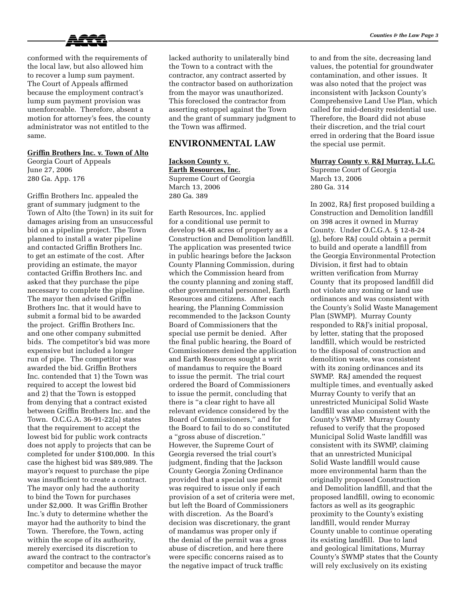

conformed with the requirements of the local law, but also allowed him to recover a lump sum payment. The Court of Appeals affirmed because the employment contract's lump sum payment provision was unenforceable. Therefore, absent a motion for attorney's fees, the county administrator was not entitled to the same.

### **Griffin Brothers Inc. v. Town of Alto**

Georgia Court of Appeals June 27, 2006 280 Ga. App. 176

Griffin Brothers Inc. appealed the grant of summary judgment to the Town of Alto (the Town) in its suit for damages arising from an unsuccessful bid on a pipeline project. The Town planned to install a water pipeline and contacted Griffin Brothers Inc. to get an estimate of the cost. After providing an estimate, the mayor contacted Griffin Brothers Inc. and asked that they purchase the pipe necessary to complete the pipeline. The mayor then advised Griffin Brothers Inc. that it would have to submit a formal bid to be awarded the project. Griffin Brothers Inc. and one other company submitted bids. The competitor's bid was more expensive but included a longer run of pipe. The competitor was awarded the bid. Griffin Brothers Inc. contended that 1) the Town was required to accept the lowest bid and 2) that the Town is estopped from denying that a contract existed between Griffin Brothers Inc. and the Town. O.C.G.A. 36-91-22(a) states that the requirement to accept the lowest bid for public work contracts does not apply to projects that can be completed for under \$100,000. In this case the highest bid was \$89,989. The mayor's request to purchase the pipe was insufficient to create a contract. The mayor only had the authority to bind the Town for purchases under \$2,000. It was Griffin Brother Inc.'s duty to determine whether the mayor had the authority to bind the Town. Therefore, the Town, acting within the scope of its authority, merely exercised its discretion to award the contract to the contractor's competitor and because the mayor

lacked authority to unilaterally bind the Town to a contract with the contractor, any contract asserted by the contractor based on authorization from the mayor was unauthorized. This foreclosed the contractor from asserting estoppel against the Town and the grant of summary judgment to the Town was affirmed.

# **ENVIRONMENTAL LAW**

**Jackson County v. Earth Resources, Inc.** Supreme Court of Georgia March 13, 2006 280 Ga. 389

Earth Resources, Inc. applied for a conditional use permit to develop 94.48 acres of property as a Construction and Demolition landfill. The application was presented twice in public hearings before the Jackson County Planning Commission, during which the Commission heard from the county planning and zoning staff, other governmental personnel, Earth Resources and citizens. After each hearing, the Planning Commission recommended to the Jackson County Board of Commissioners that the special use permit be denied. After the final public hearing, the Board of Commissioners denied the application and Earth Resources sought a writ of mandamus to require the Board to issue the permit. The trial court ordered the Board of Commissioners to issue the permit, concluding that there is "a clear right to have all relevant evidence considered by the Board of Commissioners," and for the Board to fail to do so constituted a "gross abuse of discretion." However, the Supreme Court of Georgia reversed the trial court's judgment, finding that the Jackson County Georgia Zoning Ordinance provided that a special use permit was required to issue only if each provision of a set of criteria were met, but left the Board of Commissioners with discretion. As the Board's decision was discretionary, the grant of mandamus was proper only if the denial of the permit was a gross abuse of discretion, and here there were specific concerns raised as to the negative impact of truck traffic

to and from the site, decreasing land values, the potential for groundwater contamination, and other issues. It was also noted that the project was inconsistent with Jackson County's Comprehensive Land Use Plan, which called for mid-density residential use. Therefore, the Board did not abuse their discretion, and the trial court erred in ordering that the Board issue the special use permit.

#### **Murray County v. R&J Murray, L.L.C.**

Supreme Court of Georgia March 13, 2006 280 Ga. 314

In 2002, R&J first proposed building a Construction and Demolition landfill on 398 acres it owned in Murray County. Under O.C.G.A. § 12-8-24 (g), before R&J could obtain a permit to build and operate a landfill from the Georgia Environmental Protection Division, it first had to obtain written verification from Murray County that its proposed landfill did not violate any zoning or land use ordinances and was consistent with the County's Solid Waste Management Plan (SWMP). Murray County responded to R&J's initial proposal, by letter, stating that the proposed landfill, which would be restricted to the disposal of construction and demolition waste, was consistent with its zoning ordinances and its SWMP. R&J amended the request multiple times, and eventually asked Murray County to verify that an unrestricted Municipal Solid Waste landfill was also consistent with the County's SWMP. Murray County refused to verify that the proposed Municipal Solid Waste landfill was consistent with its SWMP, claiming that an unrestricted Municipal Solid Waste landfill would cause more environmental harm than the originally proposed Construction and Demolition landfill, and that the proposed landfill, owing to economic factors as well as its geographic proximity to the County's existing landfill, would render Murray County unable to continue operating its existing landfill. Due to land and geological limitations, Murray County's SWMP states that the County will rely exclusively on its existing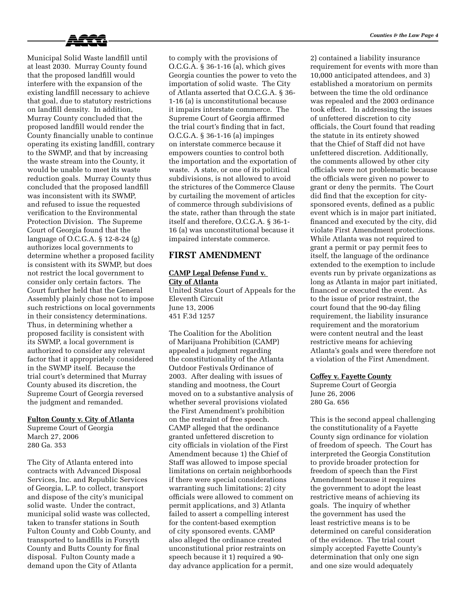

Municipal Solid Waste landfill until at least 2030. Murray County found that the proposed landfill would interfere with the expansion of the existing landfill necessary to achieve that goal, due to statutory restrictions on landfill density. In addition, Murray County concluded that the proposed landfill would render the County financially unable to continue operating its existing landfill, contrary to the SWMP, and that by increasing the waste stream into the County, it would be unable to meet its waste reduction goals. Murray County thus concluded that the proposed landfill was inconsistent with its SWMP, and refused to issue the requested verification to the Environmental Protection Division. The Supreme Court of Georgia found that the language of O.C.G.A. § 12-8-24 (g) authorizes local governments to determine whether a proposed facility is consistent with its SWMP, but does not restrict the local government to consider only certain factors. The Court further held that the General Assembly plainly chose not to impose such restrictions on local governments in their consistency determinations. Thus, in determining whether a proposed facility is consistent with its SWMP, a local government is authorized to consider any relevant factor that it appropriately considered in the SWMP itself. Because the trial court's determined that Murray County abused its discretion, the Supreme Court of Georgia reversed the judgment and remanded.

#### **Fulton County v. City of Atlanta**

Supreme Court of Georgia March 27, 2006 280 Ga. 353

The City of Atlanta entered into contracts with Advanced Disposal Services, Inc. and Republic Services of Georgia, L.P. to collect, transport and dispose of the city's municipal solid waste. Under the contract, municipal solid waste was collected, taken to transfer stations in South Fulton County and Cobb County, and transported to landfills in Forsyth County and Butts County for final disposal. Fulton County made a demand upon the City of Atlanta

to comply with the provisions of O.C.G.A. § 36-1-16 (a), which gives Georgia counties the power to veto the importation of solid waste. The City of Atlanta asserted that O.C.G.A. § 36- 1-16 (a) is unconstitutional because it impairs interstate commerce. The Supreme Court of Georgia affirmed the trial court's finding that in fact, O.C.G.A. § 36-1-16 (a) impinges on interstate commerce because it empowers counties to control both the importation and the exportation of waste. A state, or one of its political subdivisions, is not allowed to avoid the strictures of the Commerce Clause by curtailing the movement of articles of commerce through subdivisions of the state, rather than through the state itself and therefore, O.C.G.A. § 36-1- 16 (a) was unconstitutional because it impaired interstate commerce.

## **FIRST AMENDMENT**

### **CAMP Legal Defense Fund v. City of Atlanta**

United States Court of Appeals for the Eleventh Circuit June 13, 2006 451 F.3d 1257

The Coalition for the Abolition of Marijuana Prohibition (CAMP) appealed a judgment regarding the constitutionality of the Atlanta Outdoor Festivals Ordinance of 2003. After dealing with issues of standing and mootness, the Court moved on to a substantive analysis of whether several provisions violated the First Amendment's prohibition on the restraint of free speech. CAMP alleged that the ordinance granted unfettered discretion to city officials in violation of the First Amendment because 1) the Chief of Staff was allowed to impose special limitations on certain neighborhoods if there were special considerations warranting such limitations; 2) city officials were allowed to comment on permit applications, and 3) Atlanta failed to assert a compelling interest for the content-based exemption of city sponsored events. CAMP also alleged the ordinance created unconstitutional prior restraints on speech because it 1) required a 90 day advance application for a permit,

2) contained a liability insurance requirement for events with more than 10,000 anticipated attendees, and 3) established a moratorium on permits between the time the old ordinance was repealed and the 2003 ordinance took effect. In addressing the issues of unfettered discretion to city officials, the Court found that reading the statute in its entirety showed that the Chief of Staff did not have unfettered discretion. Additionally, the comments allowed by other city officials were not problematic because the officials were given no power to grant or deny the permits. The Court did find that the exception for citysponsored events, defined as a public event which is in major part initiated, financed and executed by the city, did violate First Amendment protections. While Atlanta was not required to grant a permit or pay permit fees to itself, the language of the ordinance extended to the exemption to include events run by private organizations as long as Atlanta in major part initiated, financed or executed the event. As to the issue of prior restraint, the court found that the 90-day filing requirement, the liability insurance requirement and the moratorium were content neutral and the least restrictive means for achieving Atlanta's goals and were therefore not a violation of the First Amendment.

### **Coffey v. Fayette County**

Supreme Court of Georgia June 26, 2006 280 Ga. 656

This is the second appeal challenging the constitutionality of a Fayette County sign ordinance for violation of freedom of speech. The Court has interpreted the Georgia Constitution to provide broader protection for freedom of speech than the First Amendment because it requires the government to adopt the least restrictive means of achieving its goals. The inquiry of whether the government has used the least restrictive means is to be determined on careful consideration of the evidence. The trial court simply accepted Fayette County's determination that only one sign and one size would adequately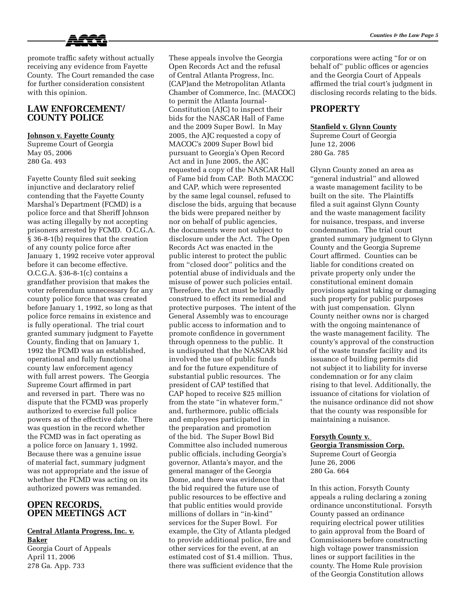

promote traffic safety without actually receiving any evidence from Fayette County. The Court remanded the case for further consideration consistent with this opinion.

# **LAW ENFORCEMENT/ COUNTY POLICE**

#### **Johnson v. Fayette County**

Supreme Court of Georgia May 05, 2006 280 Ga. 493

Fayette County filed suit seeking injunctive and declaratory relief contending that the Fayette County Marshal's Department (FCMD) is a police force and that Sheriff Johnson was acting illegally by not accepting prisoners arrested by FCMD. O.C.G.A. § 36-8-1(b) requires that the creation of any county police force after January 1, 1992 receive voter approval before it can become effective. O.C.G.A. §36-8-1(c) contains a grandfather provision that makes the voter referendum unnecessary for any county police force that was created before January 1, 1992, so long as that police force remains in existence and is fully operational. The trial court granted summary judgment to Fayette County, finding that on January 1, 1992 the FCMD was an established, operational and fully functional county law enforcement agency with full arrest powers. The Georgia Supreme Court affirmed in part and reversed in part. There was no dispute that the FCMD was properly authorized to exercise full police powers as of the effective date. There was question in the record whether the FCMD was in fact operating as a police force on January 1, 1992. Because there was a genuine issue of material fact, summary judgment was not appropriate and the issue of whether the FCMD was acting on its authorized powers was remanded.

## **OPEN RECORDS, OPEN MEETINGS ACT**

# **Central Atlanta Progress, Inc. v. Baker**

Georgia Court of Appeals April 11, 2006 278 Ga. App. 733

These appeals involve the Georgia Open Records Act and the refusal of Central Atlanta Progress, Inc. (CAP)and the Metropolitan Atlanta Chamber of Commerce, Inc. (MACOC) to permit the Atlanta Journal-Constitution (AJC) to inspect their bids for the NASCAR Hall of Fame and the 2009 Super Bowl. In May 2005, the AJC requested a copy of MACOC's 2009 Super Bowl bid pursuant to Georgia's Open Record Act and in June 2005, the AJC requested a copy of the NASCAR Hall of Fame bid from CAP. Both MACOC and CAP, which were represented by the same legal counsel, refused to disclose the bids, arguing that because the bids were prepared neither by nor on behalf of public agencies, the documents were not subject to disclosure under the Act. The Open Records Act was enacted in the public interest to protect the public from "closed door" politics and the potential abuse of individuals and the misuse of power such policies entail. Therefore, the Act must be broadly construed to effect its remedial and protective purposes. The intent of the General Assembly was to encourage public access to information and to promote confidence in government through openness to the public. It is undisputed that the NASCAR bid involved the use of public funds and for the future expenditure of substantial public resources. The president of CAP testified that CAP hoped to receive \$25 million from the state "in whatever form," and, furthermore, public officials and employees participated in the preparation and promotion of the bid. The Super Bowl Bid Committee also included numerous public officials, including Georgia's governor, Atlanta's mayor, and the general manager of the Georgia Dome, and there was evidence that the bid required the future use of public resources to be effective and that public entities would provide millions of dollars in "in-kind" services for the Super Bowl. For example, the City of Atlanta pledged to provide additional police, fire and other services for the event, at an estimated cost of \$1.4 million. Thus, there was sufficient evidence that the

corporations were acting "for or on behalf of" public offices or agencies and the Georgia Court of Appeals affirmed the trial court's judgment in disclosing records relating to the bids.

# **PROPERTY**

### **Stanfield v. Glynn County**

Supreme Court of Georgia June 12, 2006 280 Ga. 785

Glynn County zoned an area as "general industrial" and allowed a waste management facility to be built on the site. The Plaintiffs filed a suit against Glynn County and the waste management facility for nuisance, trespass, and inverse condemnation. The trial court granted summary judgment to Glynn County and the Georgia Supreme Court affirmed. Counties can be liable for conditions created on private property only under the constitutional eminent domain provisions against taking or damaging such property for public purposes with just compensation. Glynn County neither owns nor is charged with the ongoing maintenance of the waste management facility. The county's approval of the construction of the waste transfer facility and its issuance of building permits did not subject it to liability for inverse condemnation or for any claim rising to that level. Additionally, the issuance of citations for violation of the nuisance ordinance did not show that the county was responsible for maintaining a nuisance.

#### **Forsyth County v.**

**Georgia Transmission Corp.** Supreme Court of Georgia June 26, 2006 280 Ga. 664

In this action, Forsyth County appeals a ruling declaring a zoning ordinance unconstitutional. Forsyth County passed an ordinance requiring electrical power utilities to gain approval from the Board of Commissioners before constructing high voltage power transmission lines or support facilities in the county. The Home Rule provision of the Georgia Constitution allows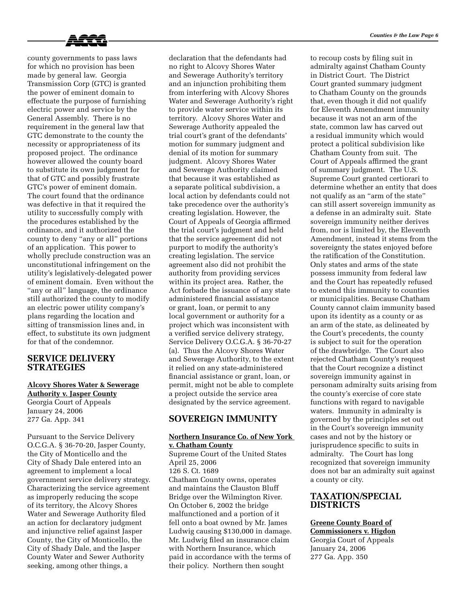

county governments to pass laws for which no provision has been made by general law. Georgia Transmission Corp (GTC) is granted the power of eminent domain to effectuate the purpose of furnishing electric power and service by the General Assembly. There is no requirement in the general law that GTC demonstrate to the county the necessity or appropriateness of its proposed project. The ordinance however allowed the county board to substitute its own judgment for that of GTC and possibly frustrate GTC's power of eminent domain. The court found that the ordinance was defective in that it required the utility to successfully comply with the procedures established by the ordinance, and it authorized the county to deny "any or all" portions of an application. This power to wholly preclude construction was an unconstitutional infringement on the utility's legislatively-delegated power of eminent domain. Even without the "any or all" language, the ordinance still authorized the county to modify an electric power utility company's plans regarding the location and sitting of transmission lines and, in effect, to substitute its own judgment for that of the condemnor.

### **SERVICE DELIVERY STRATEGIES**

277 Ga. App. 341

### **Alcovy Shores Water & Sewerage Authority v. Jasper County** Georgia Court of Appeals January 24, 2006

Pursuant to the Service Delivery O.C.G.A. § 36-70-20, Jasper County, the City of Monticello and the City of Shady Dale entered into an agreement to implement a local government service delivery strategy. Characterizing the service agreement as improperly reducing the scope of its territory, the Alcovy Shores Water and Sewerage Authority filed an action for declaratory judgment and injunctive relief against Jasper County, the City of Monticello, the City of Shady Dale, and the Jasper County Water and Sewer Authority seeking, among other things, a

declaration that the defendants had no right to Alcovy Shores Water and Sewerage Authority's territory and an injunction prohibiting them from interfering with Alcovy Shores Water and Sewerage Authority's right to provide water service within its territory. Alcovy Shores Water and Sewerage Authority appealed the trial court's grant of the defendants' motion for summary judgment and denial of its motion for summary judgment. Alcovy Shores Water and Sewerage Authority claimed that because it was established as a separate political subdivision, a local action by defendants could not take precedence over the authority's creating legislation. However, the Court of Appeals of Georgia affirmed the trial court's judgment and held that the service agreement did not purport to modify the authority's creating legislation. The service agreement also did not prohibit the authority from providing services within its project area. Rather, the Act forbade the issuance of any state administered financial assistance or grant, loan, or permit to any local government or authority for a project which was inconsistent with a verified service delivery strategy, Service Delivery O.C.G.A. § 36-70-27 (a). Thus the Alcovy Shores Water and Sewerage Authority, to the extent it relied on any state-administered financial assistance or grant, loan, or permit, might not be able to complete a project outside the service area designated by the service agreement.

# **SOVEREIGN IMMUNITY**

#### **Northern Insurance Co. of New York v. Chatham County**

Supreme Court of the United States April 25, 2006 126 S. Ct. 1689 Chatham County owns, operates and maintains the Clauston Bluff Bridge over the Wilmington River. On October 6, 2002 the bridge malfunctioned and a portion of it fell onto a boat owned by Mr. James Ludwig causing \$130,000 in damage. Mr. Ludwig filed an insurance claim with Northern Insurance, which paid in accordance with the terms of their policy. Northern then sought

to recoup costs by filing suit in admiralty against Chatham County in District Court. The District Court granted summary judgment to Chatham County on the grounds that, even though it did not qualify for Eleventh Amendment immunity because it was not an arm of the state, common law has carved out a residual immunity which would protect a political subdivision like Chatham County from suit. The Court of Appeals affirmed the grant of summary judgment. The U.S. Supreme Court granted certiorari to determine whether an entity that does not qualify as an "arm of the state" can still assert sovereign immunity as a defense in an admiralty suit. State sovereign immunity neither derives from, nor is limited by, the Eleventh Amendment, instead it stems from the sovereignty the states enjoyed before the ratification of the Constitution. Only states and arms of the state possess immunity from federal law and the Court has repeatedly refused to extend this immunity to counties or municipalities. Because Chatham County cannot claim immunity based upon its identity as a county or as an arm of the state, as delineated by the Court's precedents, the county is subject to suit for the operation of the drawbridge. The Court also rejected Chatham County's request that the Court recognize a distinct sovereign immunity against in personam admiralty suits arising from the county's exercise of core state functions with regard to navigable waters. Immunity in admiralty is governed by the principles set out in the Court's sovereign immunity cases and not by the history or jurisprudence specific to suits in admiralty. The Court has long recognized that sovereign immunity does not bar an admiralty suit against a county or city.

# **TAXATION/SPECIAL DISTRICTS**

# **Greene County Board of**

**Commissioners v. Higdon** Georgia Court of Appeals January 24, 2006 277 Ga. App. 350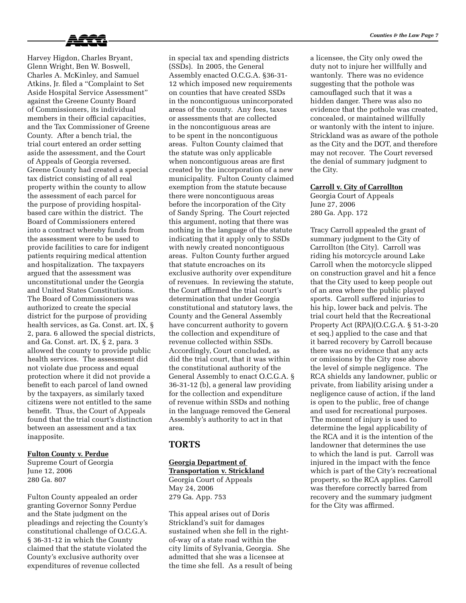

Harvey Higdon, Charles Bryant, Glenn Wright, Ben W. Boswell, Charles A. McKinley, and Samuel Atkins, Jr. filed a "Complaint to Set Aside Hospital Service Assessment" against the Greene County Board of Commissioners, its individual members in their official capacities, and the Tax Commissioner of Greene County. After a bench trial, the trial court entered an order setting aside the assessment, and the Court of Appeals of Georgia reversed. Greene County had created a special tax district consisting of all real property within the county to allow the assessment of each parcel for the purpose of providing hospitalbased care within the district. The Board of Commissioners entered into a contract whereby funds from the assessment were to be used to provide facilities to care for indigent patients requiring medical attention and hospitalization. The taxpayers argued that the assessment was unconstitutional under the Georgia and United States Constitutions. The Board of Commissioners was authorized to create the special district for the purpose of providing health services, as Ga. Const. art. IX, § 2, para. 6 allowed the special districts, and Ga. Const. art. IX, § 2, para. 3 allowed the county to provide public health services. The assessment did not violate due process and equal protection where it did not provide a benefit to each parcel of land owned by the taxpayers, as similarly taxed citizens were not entitled to the same benefit. Thus, the Court of Appeals found that the trial court's distinction between an assessment and a tax inapposite.

### **Fulton County v. Perdue**

Supreme Court of Georgia June 12, 2006 280 Ga. 807

Fulton County appealed an order granting Governor Sonny Perdue and the State judgment on the pleadings and rejecting the County's constitutional challenge of O.C.G.A. § 36-31-12 in which the County claimed that the statute violated the County's exclusive authority over expenditures of revenue collected

in special tax and spending districts (SSDs). In 2005, the General Assembly enacted O.C.G.A. §36-31- 12 which imposed new requirements on counties that have created SSDs in the noncontiguous unincorporated areas of the county. Any fees, taxes or assessments that are collected in the noncontiguous areas are to be spent in the noncontiguous areas. Fulton County claimed that the statute was only applicable when noncontiguous areas are first created by the incorporation of a new municipality. Fulton County claimed exemption from the statute because there were noncontiguous areas before the incorporation of the City of Sandy Spring. The Court rejected this argument, noting that there was nothing in the language of the statute indicating that it apply only to SSDs with newly created noncontiguous areas. Fulton County further argued that statute encroaches on its exclusive authority over expenditure of revenues. In reviewing the statute, the Court affirmed the trial court's determination that under Georgia constitutional and statutory laws, the County and the General Assembly have concurrent authority to govern the collection and expenditure of revenue collected within SSDs. Accordingly, Court concluded, as did the trial court, that it was within the constitutional authority of the General Assembly to enact O.C.G.A. § 36-31-12 (b), a general law providing for the collection and expenditure of revenue within SSDs and nothing in the language removed the General Assembly's authority to act in that area.

# **TORTS**

### **Georgia Department of Transportation v. Strickland** Georgia Court of Appeals May 24, 2006 279 Ga. App. 753

This appeal arises out of Doris Strickland's suit for damages sustained when she fell in the rightof-way of a state road within the city limits of Sylvania, Georgia. She admitted that she was a licensee at the time she fell. As a result of being a licensee, the City only owed the duty not to injure her willfully and wantonly. There was no evidence suggesting that the pothole was camouflaged such that it was a hidden danger. There was also no evidence that the pothole was created, concealed, or maintained willfully or wantonly with the intent to injure. Strickland was as aware of the pothole as the City and the DOT, and therefore may not recover. The Court reversed the denial of summary judgment to the City.

#### **Carroll v. City of Carrollton**

Georgia Court of Appeals June 27, 2006 280 Ga. App. 172

Tracy Carroll appealed the grant of summary judgment to the City of Carrollton (the City). Carroll was riding his motorcycle around Lake Carroll when the motorcycle slipped on construction gravel and hit a fence that the City used to keep people out of an area where the public played sports. Carroll suffered injuries to his hip, lower back and pelvis. The trial court held that the Recreational Property Act (RPA)(O.C.G.A. § 51-3-20 et seq.) applied to the case and that it barred recovery by Carroll because there was no evidence that any acts or omissions by the City rose above the level of simple negligence. The RCA shields any landowner, public or private, from liability arising under a negligence cause of action, if the land is open to the public, free of change and used for recreational purposes. The moment of injury is used to determine the legal applicability of the RCA and it is the intention of the landowner that determines the use to which the land is put. Carroll was injured in the impact with the fence which is part of the City's recreational property, so the RCA applies. Carroll was therefore correctly barred from recovery and the summary judgment for the City was affirmed.